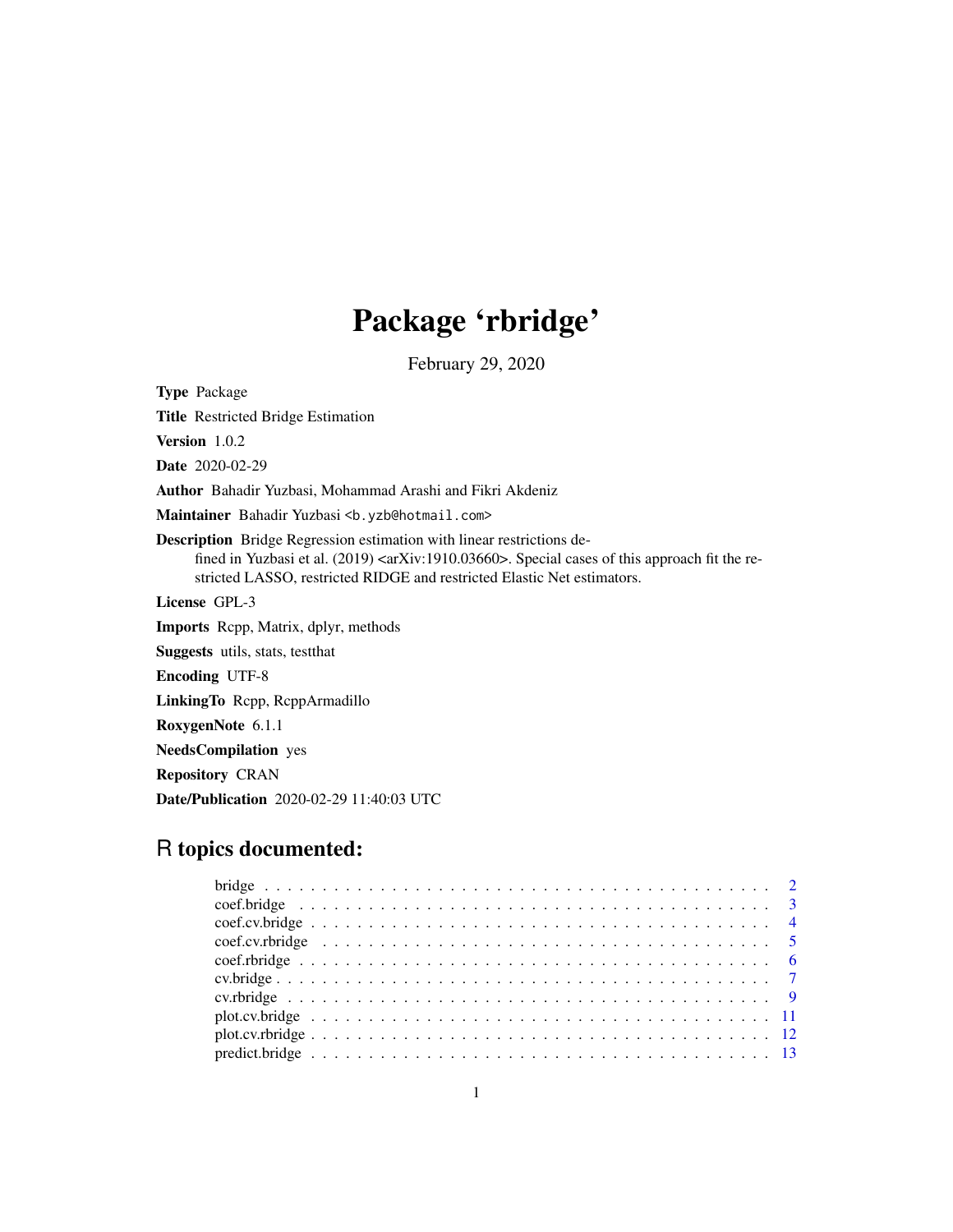## Package 'rbridge'

February 29, 2020

Type Package Title Restricted Bridge Estimation Version 1.0.2 Date 2020-02-29 Author Bahadir Yuzbasi, Mohammad Arashi and Fikri Akdeniz Maintainer Bahadir Yuzbasi <br/>b.yzb@hotmail.com> Description Bridge Regression estimation with linear restrictions defined in Yuzbasi et al. (2019) <arXiv:1910.03660>. Special cases of this approach fit the restricted LASSO, restricted RIDGE and restricted Elastic Net estimators. License GPL-3 Imports Rcpp, Matrix, dplyr, methods Suggests utils, stats, testthat Encoding UTF-8 LinkingTo Rcpp, RcppArmadillo RoxygenNote 6.1.1 NeedsCompilation yes Repository CRAN Date/Publication 2020-02-29 11:40:03 UTC

### R topics documented: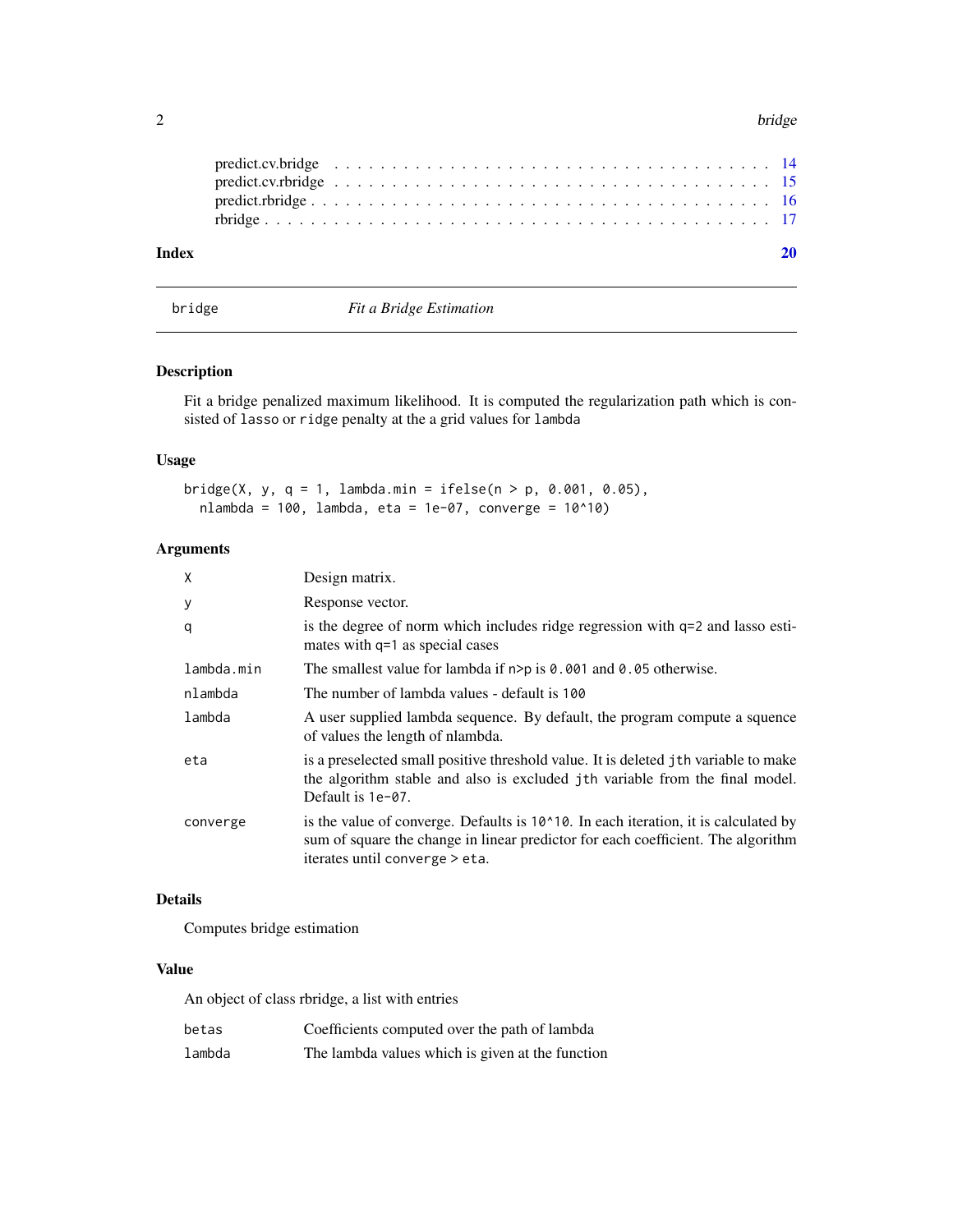<span id="page-1-0"></span>

| Index |  |  |  |  |  |  |  |  |  |  |  |  |  |  |  |  |  |  |
|-------|--|--|--|--|--|--|--|--|--|--|--|--|--|--|--|--|--|--|
|       |  |  |  |  |  |  |  |  |  |  |  |  |  |  |  |  |  |  |
|       |  |  |  |  |  |  |  |  |  |  |  |  |  |  |  |  |  |  |
|       |  |  |  |  |  |  |  |  |  |  |  |  |  |  |  |  |  |  |
|       |  |  |  |  |  |  |  |  |  |  |  |  |  |  |  |  |  |  |

<span id="page-1-1"></span>bridge *Fit a Bridge Estimation*

#### Description

Fit a bridge penalized maximum likelihood. It is computed the regularization path which is consisted of lasso or ridge penalty at the a grid values for lambda

#### Usage

```
bridge(X, y, q = 1, lambda.min = ifelse(n > p, 0.001, 0.05),
 nlambda = 100, lambda, eta = 1e-07, converge = 10^10)
```
#### Arguments

| X          | Design matrix.                                                                                                                                                                                                      |
|------------|---------------------------------------------------------------------------------------------------------------------------------------------------------------------------------------------------------------------|
| У          | Response vector.                                                                                                                                                                                                    |
| q          | is the degree of norm which includes ridge regression with $q=2$ and lasso esti-<br>mates with q=1 as special cases                                                                                                 |
| lambda.min | The smallest value for lambda if $n > p$ is 0.001 and 0.05 otherwise.                                                                                                                                               |
| nlambda    | The number of lambda values - default is 100                                                                                                                                                                        |
| lambda     | A user supplied lambda sequence. By default, the program compute a squence<br>of values the length of nlambda.                                                                                                      |
| eta        | is a preselected small positive threshold value. It is deleted jth variable to make<br>the algorithm stable and also is excluded jth variable from the final model.<br>Default is 1e-07.                            |
| converge   | is the value of converge. Defaults is $10^{\circ}10$ . In each iteration, it is calculated by<br>sum of square the change in linear predictor for each coefficient. The algorithm<br>iterates until converge > eta. |

#### Details

Computes bridge estimation

#### Value

An object of class rbridge, a list with entries

| betas  | Coefficients computed over the path of lambda    |
|--------|--------------------------------------------------|
| lambda | The lambda values which is given at the function |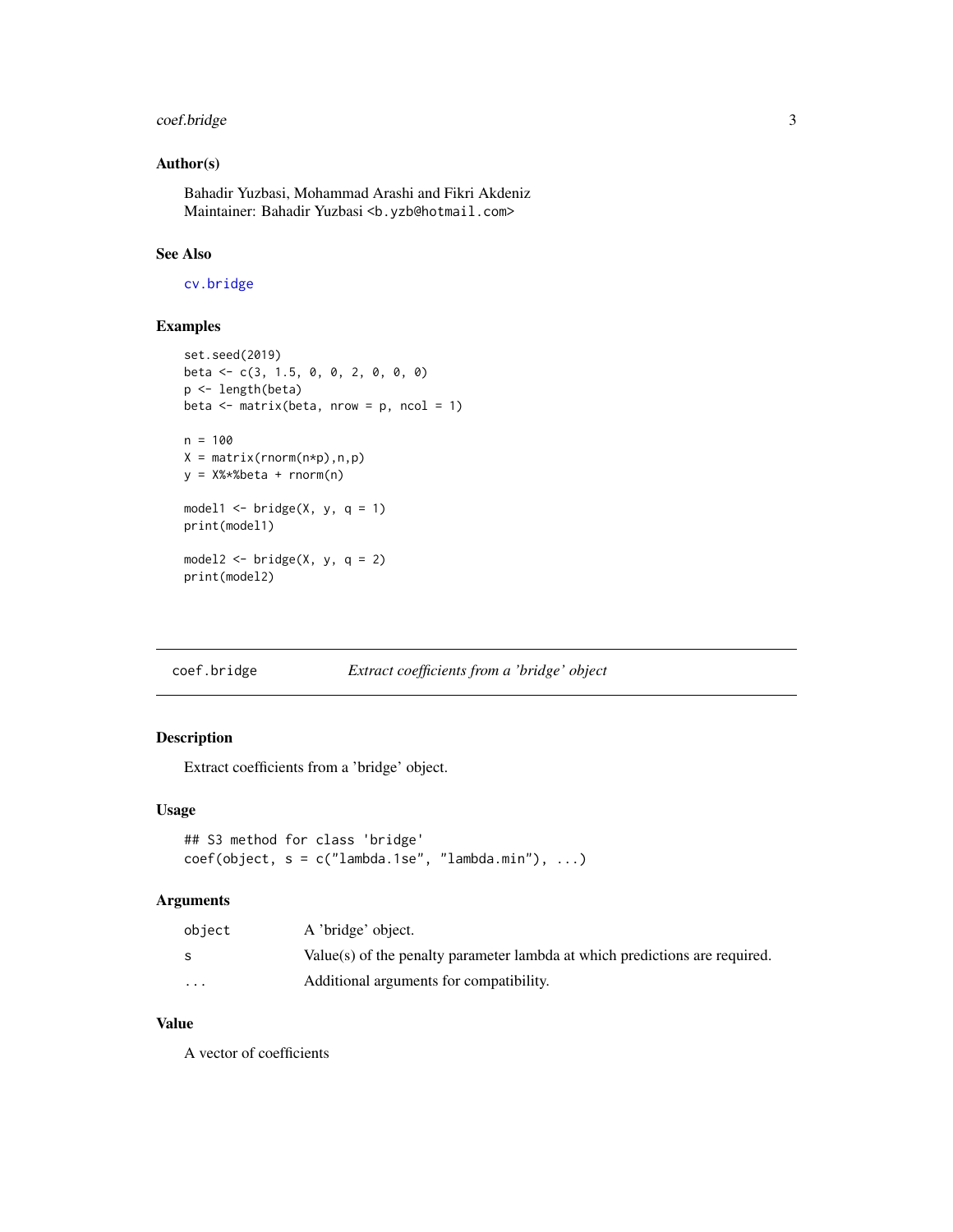#### <span id="page-2-0"></span>coef.bridge 3

#### Author(s)

Bahadir Yuzbasi, Mohammad Arashi and Fikri Akdeniz Maintainer: Bahadir Yuzbasi <b.yzb@hotmail.com>

#### See Also

[cv.bridge](#page-6-1)

#### Examples

```
set.seed(2019)
beta <- c(3, 1.5, 0, 0, 2, 0, 0, 0)
p <- length(beta)
beta \leq matrix(beta, nrow = p, ncol = 1)
n = 100X = matrix(rnorm(n*p),n,p)y = X%*%beta + rnorm(n)
model1 <- bridge(X, y, q = 1)
print(model1)
model2 \leftarrow bridge(X, y, q = 2)
print(model2)
```
#### <span id="page-2-1"></span>coef.bridge *Extract coefficients from a 'bridge' object*

#### Description

Extract coefficients from a 'bridge' object.

#### Usage

```
## S3 method for class 'bridge'
coef(object, s = c("lambda.1se", "lambda.mbda.min"), ...)
```
#### Arguments

| object                  | A 'bridge' object.                                                          |
|-------------------------|-----------------------------------------------------------------------------|
|                         | Value(s) of the penalty parameter lambda at which predictions are required. |
| $\cdot$ $\cdot$ $\cdot$ | Additional arguments for compatibility.                                     |

#### Value

A vector of coefficients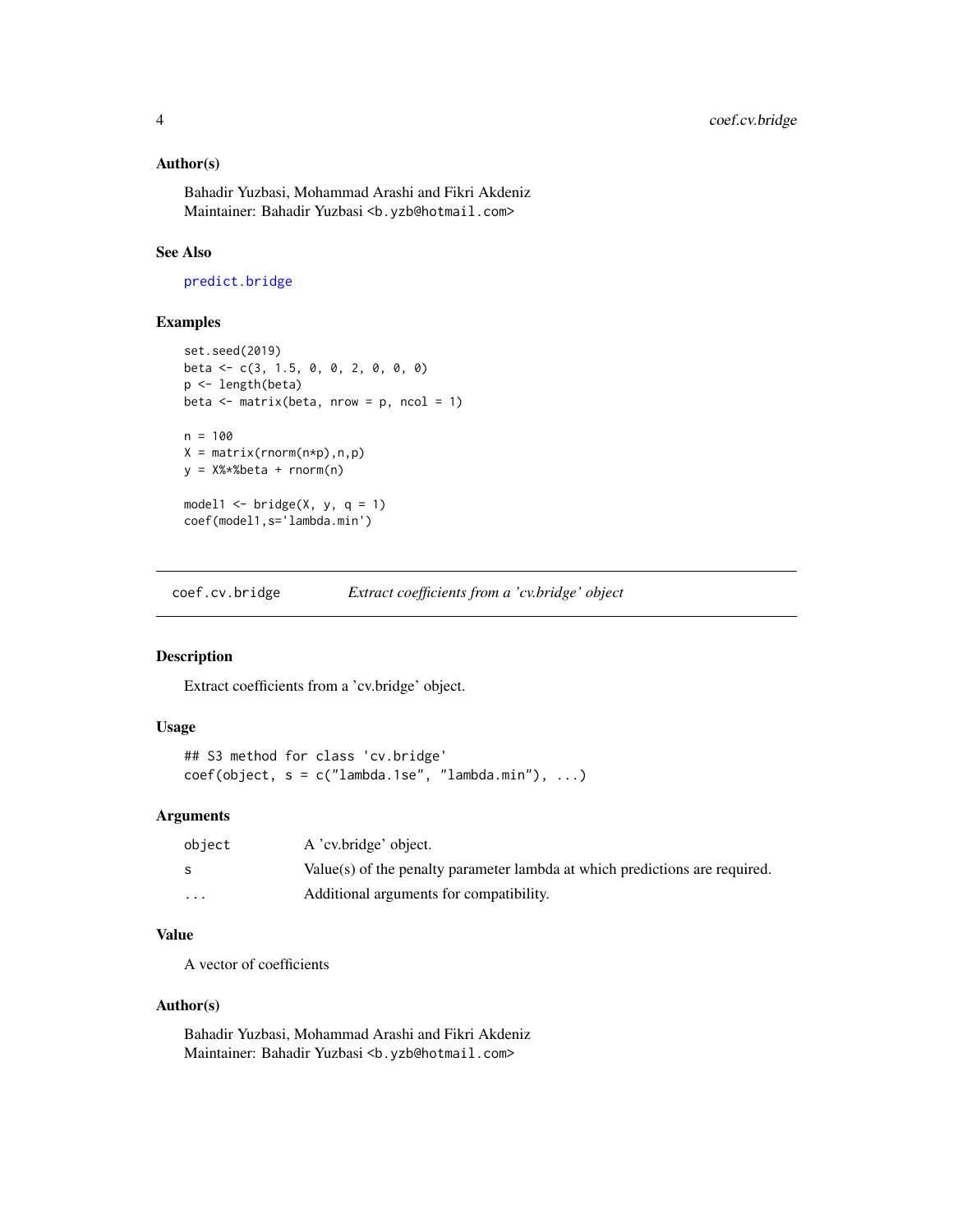#### <span id="page-3-0"></span>Author(s)

Bahadir Yuzbasi, Mohammad Arashi and Fikri Akdeniz Maintainer: Bahadir Yuzbasi <b.yzb@hotmail.com>

#### See Also

[predict.bridge](#page-12-1)

#### Examples

```
set.seed(2019)
beta <- c(3, 1.5, 0, 0, 2, 0, 0, 0)
p <- length(beta)
beta <- matrix(beta, nrow = p, ncol = 1)
n = 100X = matrix(rnorm(n*p),n,p)y = X%*%beta + rnorm(n)
model1 \le bridge(X, y, q = 1)
coef(model1,s='lambda.min')
```
<span id="page-3-1"></span>coef.cv.bridge *Extract coefficients from a 'cv.bridge' object*

#### Description

Extract coefficients from a 'cv.bridge' object.

#### Usage

```
## S3 method for class 'cv.bridge'
coef(object, s = c("lambda.1se", "lambda.mbda.min"), ...)
```
#### Arguments

| object                  | A 'cv.bridge' object.                                                       |
|-------------------------|-----------------------------------------------------------------------------|
|                         | Value(s) of the penalty parameter lambda at which predictions are required. |
| $\cdot$ $\cdot$ $\cdot$ | Additional arguments for compatibility.                                     |

#### Value

A vector of coefficients

#### Author(s)

Bahadir Yuzbasi, Mohammad Arashi and Fikri Akdeniz Maintainer: Bahadir Yuzbasi <b.yzb@hotmail.com>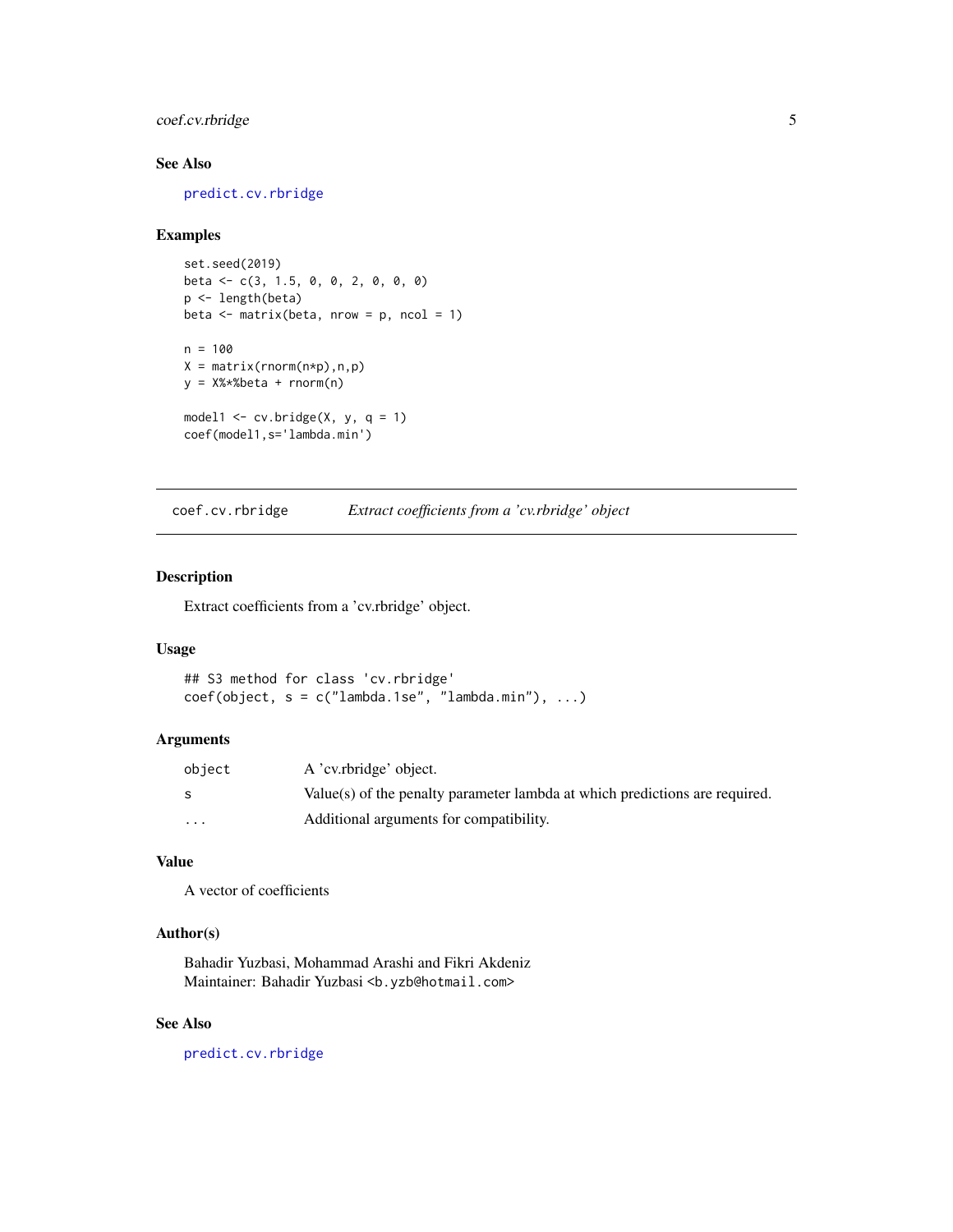#### <span id="page-4-0"></span>coef.cv.rbridge 5

#### See Also

[predict.cv.rbridge](#page-14-1)

#### Examples

```
set.seed(2019)
beta <- c(3, 1.5, 0, 0, 2, 0, 0, 0)
p <- length(beta)
beta \leq matrix(beta, nrow = p, ncol = 1)
n = 100
X = matrix(rnorm(n*p),n,p)y = X%*%beta + rnorm(n)
model1 \leq cv.bridge(X, y, q = 1)
coef(model1,s='lambda.min')
```
<span id="page-4-1"></span>coef.cv.rbridge *Extract coefficients from a 'cv.rbridge' object*

#### Description

Extract coefficients from a 'cv.rbridge' object.

#### Usage

```
## S3 method for class 'cv.rbridge'
coef(object, s = c("lambda.1se", "lambda.mbda.min"), ...)
```
#### Arguments

| object   | A 'cv.rbridge' object.                                                      |
|----------|-----------------------------------------------------------------------------|
|          | Value(s) of the penalty parameter lambda at which predictions are required. |
| $\cdots$ | Additional arguments for compatibility.                                     |

#### Value

A vector of coefficients

#### Author(s)

Bahadir Yuzbasi, Mohammad Arashi and Fikri Akdeniz Maintainer: Bahadir Yuzbasi <b.yzb@hotmail.com>

#### See Also

[predict.cv.rbridge](#page-14-1)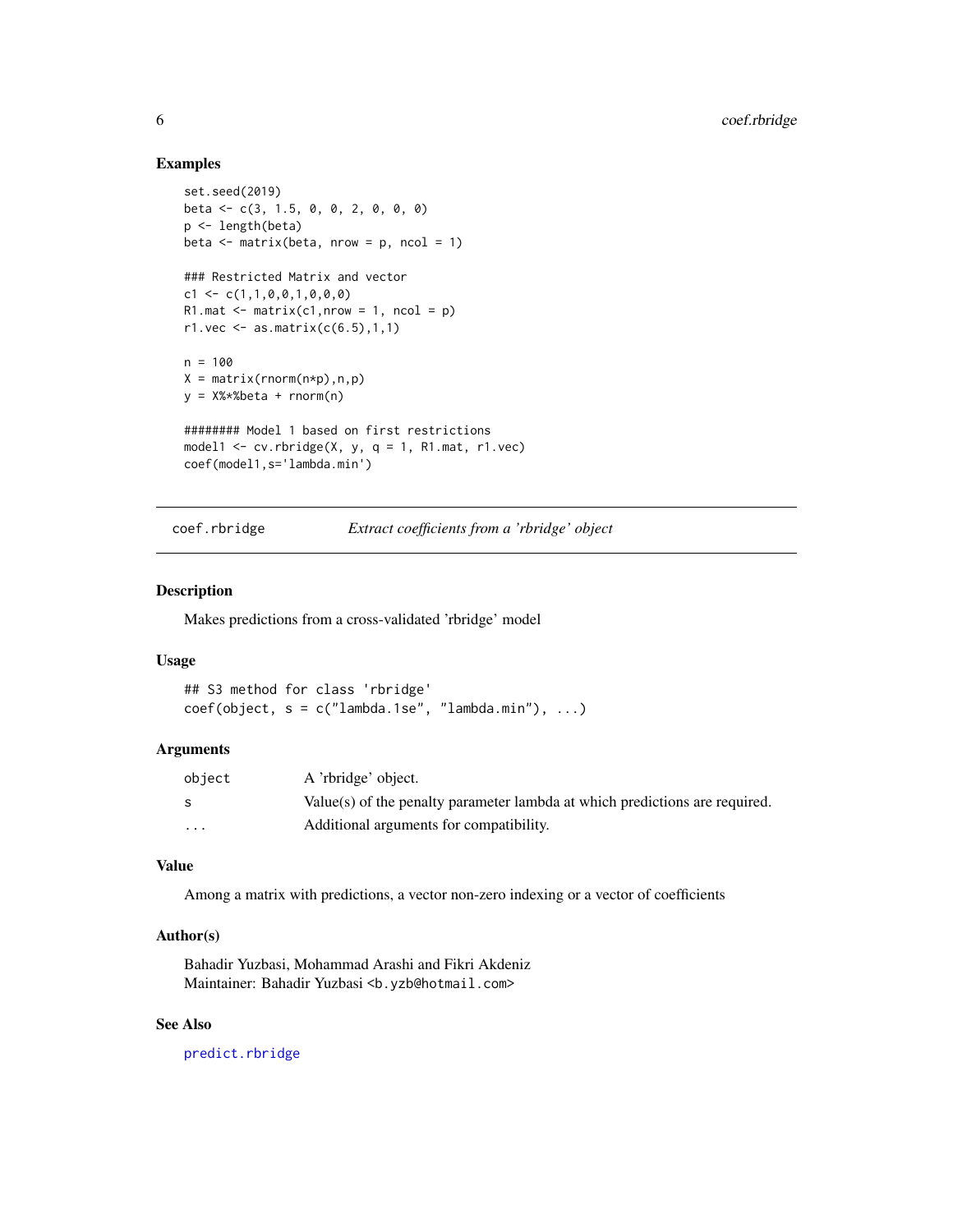#### Examples

```
set.seed(2019)
beta <- c(3, 1.5, 0, 0, 2, 0, 0, 0)
p <- length(beta)
beta \leq matrix(beta, nrow = p, ncol = 1)
### Restricted Matrix and vector
c1 \leftarrow c(1,1,0,0,1,0,0,0)R1.mat \leq matrix(c1,nrow = 1, ncol = p)
r1.vec \leq as.matrix(c(6.5), 1, 1)
n = 100
X = matrix(rnorm(n*p),n,p)y = X%*%beta + rnorm(n)
######## Model 1 based on first restrictions
model1 \leq cv.rbridge(X, y, q = 1, R1.mat, r1.vec)
coef(model1,s='lambda.min')
```
coef.rbridge *Extract coefficients from a 'rbridge' object*

#### Description

Makes predictions from a cross-validated 'rbridge' model

#### Usage

```
## S3 method for class 'rbridge'
coef(object, s = c("lambda.1se", "lambda.mbda.min"), ...)
```
#### Arguments

| object                  | A 'rbridge' object.                                                         |
|-------------------------|-----------------------------------------------------------------------------|
|                         | Value(s) of the penalty parameter lambda at which predictions are required. |
| $\cdot$ $\cdot$ $\cdot$ | Additional arguments for compatibility.                                     |

#### Value

Among a matrix with predictions, a vector non-zero indexing or a vector of coefficients

#### Author(s)

Bahadir Yuzbasi, Mohammad Arashi and Fikri Akdeniz Maintainer: Bahadir Yuzbasi <b.yzb@hotmail.com>

#### See Also

[predict.rbridge](#page-15-1)

<span id="page-5-0"></span>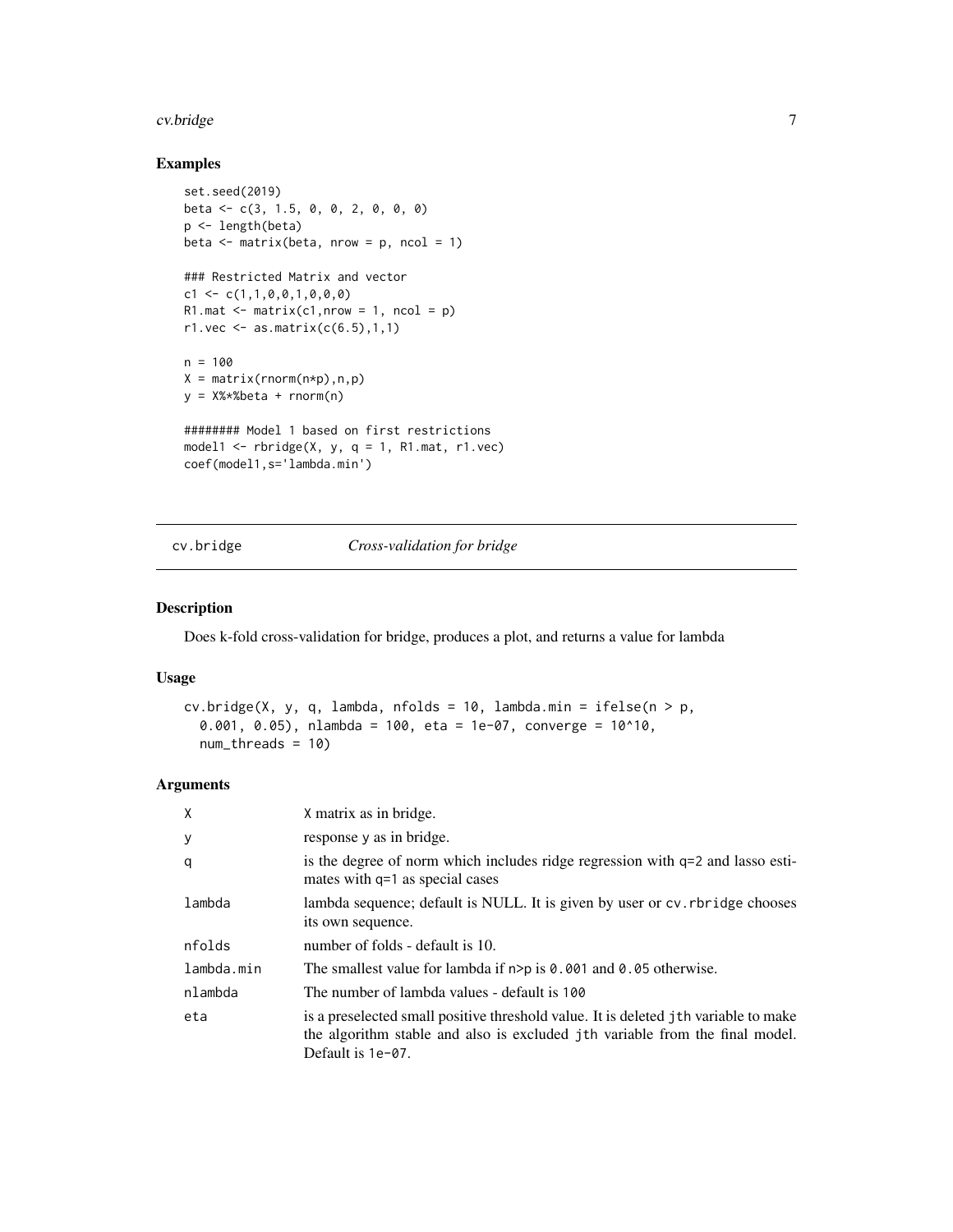#### <span id="page-6-0"></span>cv.bridge 7 and 200 km s and 200 km s and 200 km s and 200 km s and 200 km s and 200 km s and 200 km s and 200

#### Examples

```
set.seed(2019)
beta <- c(3, 1.5, 0, 0, 2, 0, 0, 0)
p <- length(beta)
beta <- matrix(beta, nrow = p, ncol = 1)
### Restricted Matrix and vector
c1 \leftarrow c(1,1,0,0,1,0,0,0)R1.mat \leq matrix(c1,nrow = 1, ncol = p)
r1.vec \leq as.matrix(c(6.5), 1, 1)
n = 100
X = matrix(rnorm(n*p),n,p)y = X%*%beta + rnorm(n)
######## Model 1 based on first restrictions
model1 \le- rbridge(X, y, q = 1, R1.mat, r1.vec)
coef(model1,s='lambda.min')
```
<span id="page-6-1"></span>cv.bridge *Cross-validation for bridge*

#### Description

Does k-fold cross-validation for bridge, produces a plot, and returns a value for lambda

#### Usage

```
cv.bridge(X, y, q, lambda, nfolds = 10, lambda.min = ifelse(n > p,
  0.001, 0.05), nlambda = 100, eta = 1e-07, converge = 10^10,
  num_threads = 10)
```
#### Arguments

| X          | X matrix as in bridge.                                                                                                                                                                      |
|------------|---------------------------------------------------------------------------------------------------------------------------------------------------------------------------------------------|
| У          | response y as in bridge.                                                                                                                                                                    |
| q          | is the degree of norm which includes ridge regression with $q=2$ and lasso esti-<br>mates with q=1 as special cases                                                                         |
| lambda     | lambda sequence; default is NULL. It is given by user or cv. rbridge chooses<br>its own sequence.                                                                                           |
| nfolds     | number of folds - default is 10.                                                                                                                                                            |
| lambda.min | The smallest value for lambda if $n > p$ is 0.001 and 0.05 otherwise.                                                                                                                       |
| nlambda    | The number of lambda values - default is 100                                                                                                                                                |
| eta        | is a preselected small positive threshold value. It is deleted jth variable to make<br>the algorithm stable and also is excluded jth variable from the final model.<br>Default is $1e-07$ . |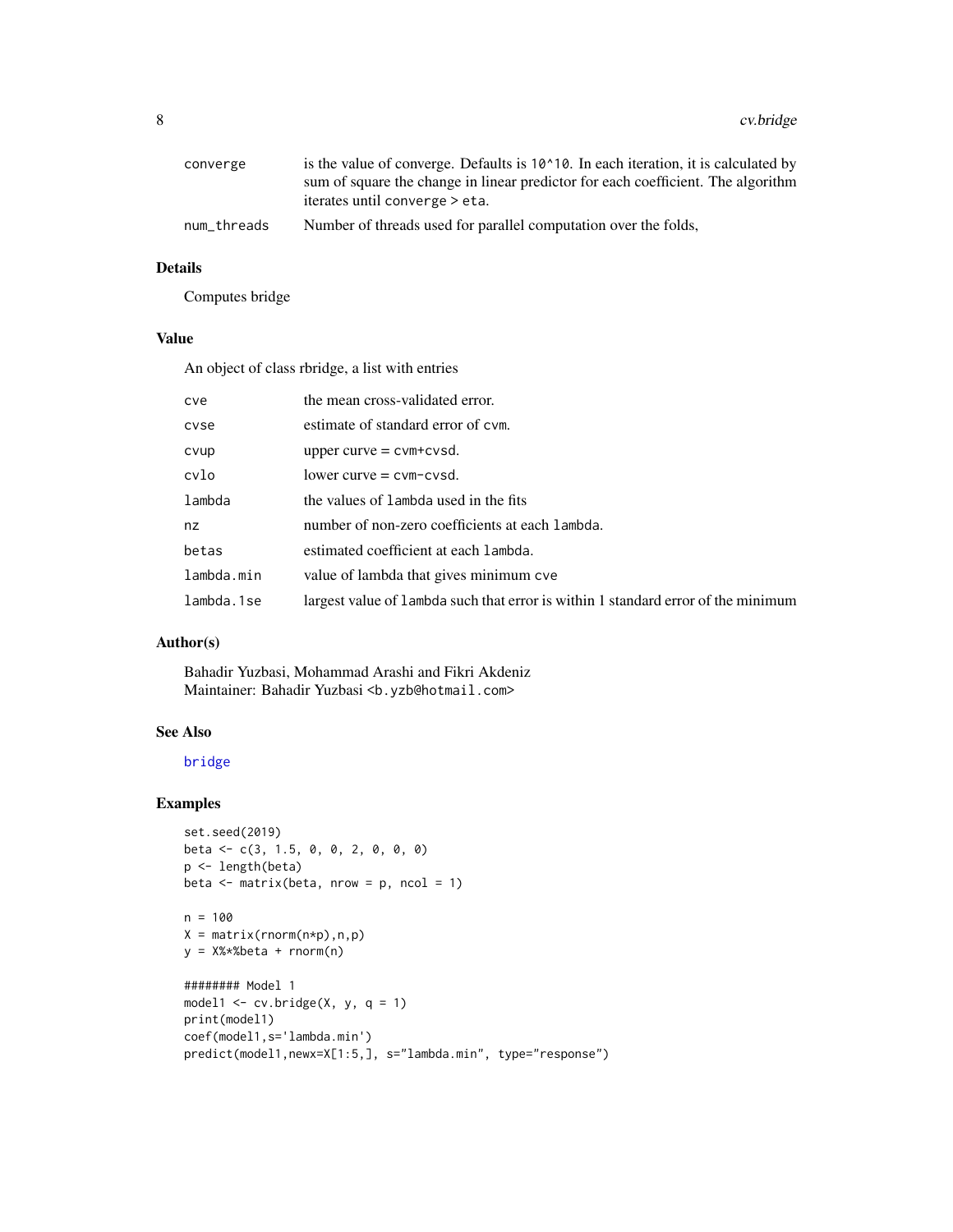<span id="page-7-0"></span>

| converge    | is the value of converge. Defaults is 10 <sup><math>\land</math></sup> 10. In each iteration, it is calculated by |
|-------------|-------------------------------------------------------------------------------------------------------------------|
|             | sum of square the change in linear predictor for each coefficient. The algorithm                                  |
|             | iterates until converge > eta.                                                                                    |
| num_threads | Number of threads used for parallel computation over the folds,                                                   |

#### Details

Computes bridge

#### Value

An object of class rbridge, a list with entries

| cve        | the mean cross-validated error.                                                   |
|------------|-----------------------------------------------------------------------------------|
| cyse       | estimate of standard error of cym.                                                |
| cvup       | upper curve $=$ cvm+cvsd.                                                         |
| cvlo       | $lower curve = cvm-cvsd.$                                                         |
| lambda     | the values of lambda used in the fits                                             |
| nz         | number of non-zero coefficients at each lambda.                                   |
| betas      | estimated coefficient at each lambda.                                             |
| lambda.min | value of lambda that gives minimum cve                                            |
| lambda.1se | largest value of lambda such that error is within 1 standard error of the minimum |

#### Author(s)

Bahadir Yuzbasi, Mohammad Arashi and Fikri Akdeniz Maintainer: Bahadir Yuzbasi <b.yzb@hotmail.com>

#### See Also

#### [bridge](#page-1-1)

```
set.seed(2019)
beta <- c(3, 1.5, 0, 0, 2, 0, 0, 0)
p <- length(beta)
beta \leq matrix(beta, nrow = p, ncol = 1)
n = 100
X = matrix(rnorm(n*p),n,p)y = X%*%beta + rnorm(n)
######## Model 1
model1 \leq cv.bridge(X, y, q = 1)
print(model1)
coef(model1,s='lambda.min')
predict(model1,newx=X[1:5,], s="lambda.min", type="response")
```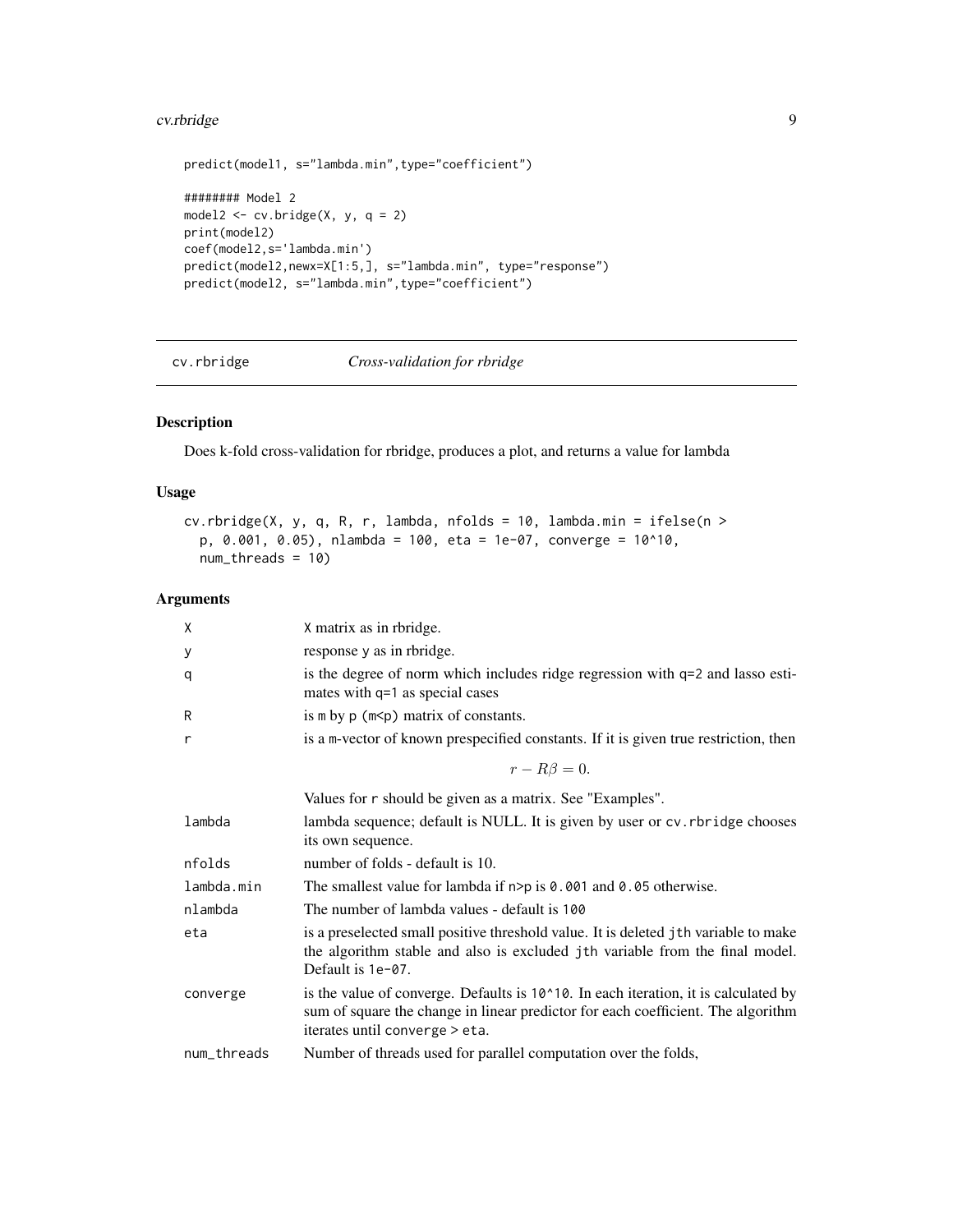#### <span id="page-8-0"></span>cv.rbridge 9

```
predict(model1, s="lambda.min",type="coefficient")
######## Model 2
model2 \leq cv.bridge(X, y, q = 2)
print(model2)
coef(model2,s='lambda.min')
predict(model2,newx=X[1:5,], s="lambda.min", type="response")
predict(model2, s="lambda.min",type="coefficient")
```
#### <span id="page-8-1"></span>cv.rbridge *Cross-validation for rbridge*

#### Description

Does k-fold cross-validation for rbridge, produces a plot, and returns a value for lambda

#### Usage

```
cv.rbridge(X, y, q, R, r, lambda, nfolds = 10, lambda.min = ifelse(n >
 p, 0.001, 0.05), nlambda = 100, eta = 1e-07, converge = 10^10,
 num_threads = 10)
```
#### Arguments

| Χ           | X matrix as in rbridge.                                                                                                                                                                                             |
|-------------|---------------------------------------------------------------------------------------------------------------------------------------------------------------------------------------------------------------------|
| у           | response y as in rbridge.                                                                                                                                                                                           |
| q           | is the degree of norm which includes ridge regression with q=2 and lasso esti-<br>mates with q=1 as special cases                                                                                                   |
| R           | is $m$ by $p(m< p)$ matrix of constants.                                                                                                                                                                            |
| r           | is a m-vector of known prespecified constants. If it is given true restriction, then                                                                                                                                |
|             | $r - R\beta = 0.$                                                                                                                                                                                                   |
|             | Values for r should be given as a matrix. See "Examples".                                                                                                                                                           |
| lambda      | lambda sequence; default is NULL. It is given by user or cv. rbridge chooses<br>its own sequence.                                                                                                                   |
| nfolds      | number of folds - default is 10.                                                                                                                                                                                    |
| lambda.min  | The smallest value for lambda if $n > p$ is 0.001 and 0.05 otherwise.                                                                                                                                               |
| nlambda     | The number of lambda values - default is 100                                                                                                                                                                        |
| eta         | is a preselected small positive threshold value. It is deleted jth variable to make<br>the algorithm stable and also is excluded jth variable from the final model.<br>Default is 1e-07.                            |
| converge    | is the value of converge. Defaults is $10^{\circ}10$ . In each iteration, it is calculated by<br>sum of square the change in linear predictor for each coefficient. The algorithm<br>iterates until converge > eta. |
| num_threads | Number of threads used for parallel computation over the folds,                                                                                                                                                     |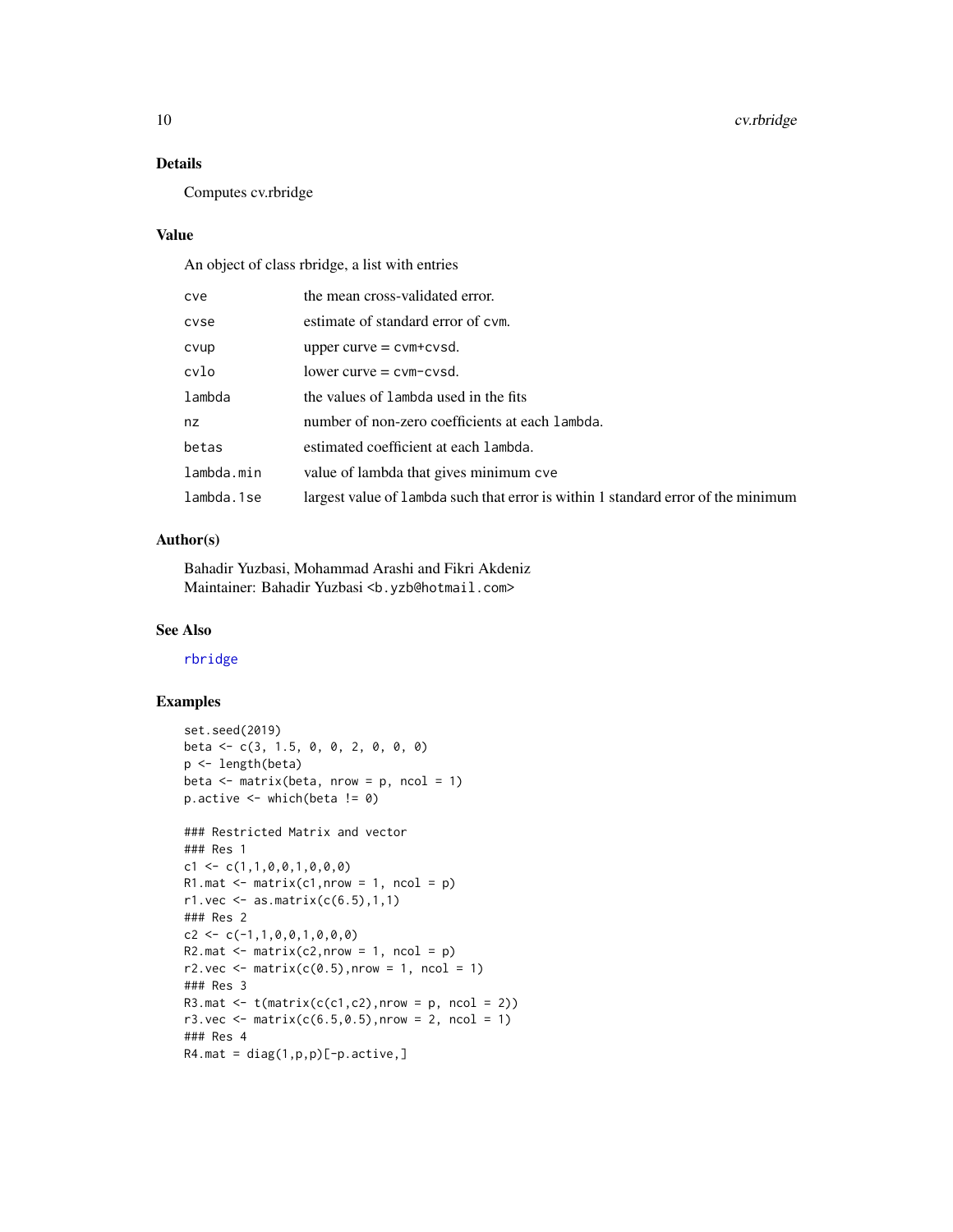#### Details

Computes cv.rbridge

#### Value

An object of class rbridge, a list with entries

| cve        | the mean cross-validated error.                                                   |
|------------|-----------------------------------------------------------------------------------|
| cvse       | estimate of standard error of cym.                                                |
| cvup       | upper curve $=$ cvm+cvsd.                                                         |
| cvlo       | $lower curve = cvm-cvsd.$                                                         |
| lambda     | the values of lambda used in the fits                                             |
| nz         | number of non-zero coefficients at each lambda.                                   |
| betas      | estimated coefficient at each lambda.                                             |
| lambda.min | value of lambda that gives minimum cve                                            |
| lambda.1se | largest value of lambda such that error is within 1 standard error of the minimum |

#### Author(s)

Bahadir Yuzbasi, Mohammad Arashi and Fikri Akdeniz Maintainer: Bahadir Yuzbasi <b.yzb@hotmail.com>

#### See Also

[rbridge](#page-16-1)

```
set.seed(2019)
beta <- c(3, 1.5, 0, 0, 2, 0, 0, 0)
p <- length(beta)
beta \leq matrix(beta, nrow = p, ncol = 1)
p.active \leq which(beta != 0)
### Restricted Matrix and vector
### Res 1
c1 \leftarrow c(1,1,0,0,1,0,0,0)R1.mat \leq matrix(c1, nrow = 1, ncol = p)
r1.vec \leq as.matrix(c(6.5), 1, 1)
### Res 2
c2 \leftarrow c(-1,1,0,0,1,0,0,0)R2.mat \leq matrix(c2,nrow = 1, ncol = p)
r2 \text{.vec} <= matrix(c(0.5), nrow = 1, ncol = 1)
### Res 3
R3.mat \leftarrow t(matrix(c(c1,c2), nrow = p, ncol = 2))
r3.vec <- matrix(c(6.5,0.5), nrow = 2, ncol = 1)
### Res 4
R4.mat = diag(1, p, p)[-p.active,]
```
<span id="page-9-0"></span>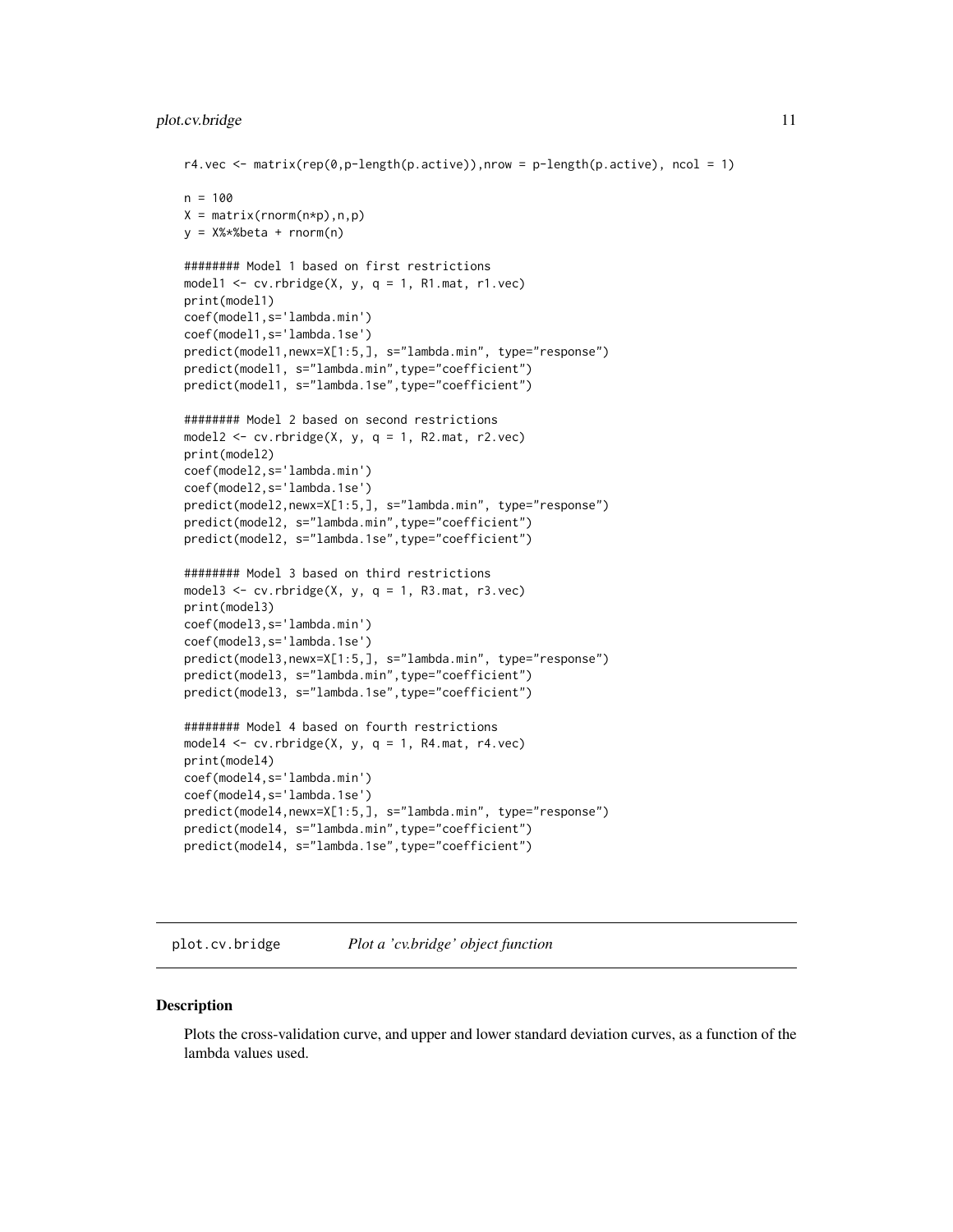```
r4.vec \leq matrix(rep(0,p-length(p.active)),nrow = p-length(p.active), ncol = 1)
n = 100X = matrix(rnorm(n*p),n,p)y = X%*%beta + rnorm(n)
######## Model 1 based on first restrictions
model1 <- cv.rbridge(X, y, q = 1, R1.mat, r1.vec)
print(model1)
coef(model1,s='lambda.min')
coef(model1,s='lambda.1se')
predict(model1,newx=X[1:5,], s="lambda.min", type="response")
predict(model1, s="lambda.min",type="coefficient")
predict(model1, s="lambda.1se",type="coefficient")
######## Model 2 based on second restrictions
model2 \leq cv.rbridge(X, y, q = 1, R2.mat, r2.vec)
print(model2)
coef(model2,s='lambda.min')
coef(model2,s='lambda.1se')
predict(model2,newx=X[1:5,], s="lambda.min", type="response")
predict(model2, s="lambda.min",type="coefficient")
predict(model2, s="lambda.1se",type="coefficient")
######## Model 3 based on third restrictions
model3 \leq cv.rbridge(X, y, q = 1, R3.mat, r3.vec)
print(model3)
coef(model3,s='lambda.min')
coef(model3,s='lambda.1se')
predict(model3,newx=X[1:5,], s="lambda.min", type="response")
predict(model3, s="lambda.min",type="coefficient")
predict(model3, s="lambda.1se",type="coefficient")
######## Model 4 based on fourth restrictions
model4 \leq cv.rbridge(X, y, q = 1, R4.mat, r4.vec)
print(model4)
coef(model4,s='lambda.min')
coef(model4,s='lambda.1se')
predict(model4,newx=X[1:5,], s="lambda.min", type="response")
predict(model4, s="lambda.min",type="coefficient")
predict(model4, s="lambda.1se",type="coefficient")
```
plot.cv.bridge *Plot a 'cv.bridge' object function*

#### **Description**

Plots the cross-validation curve, and upper and lower standard deviation curves, as a function of the lambda values used.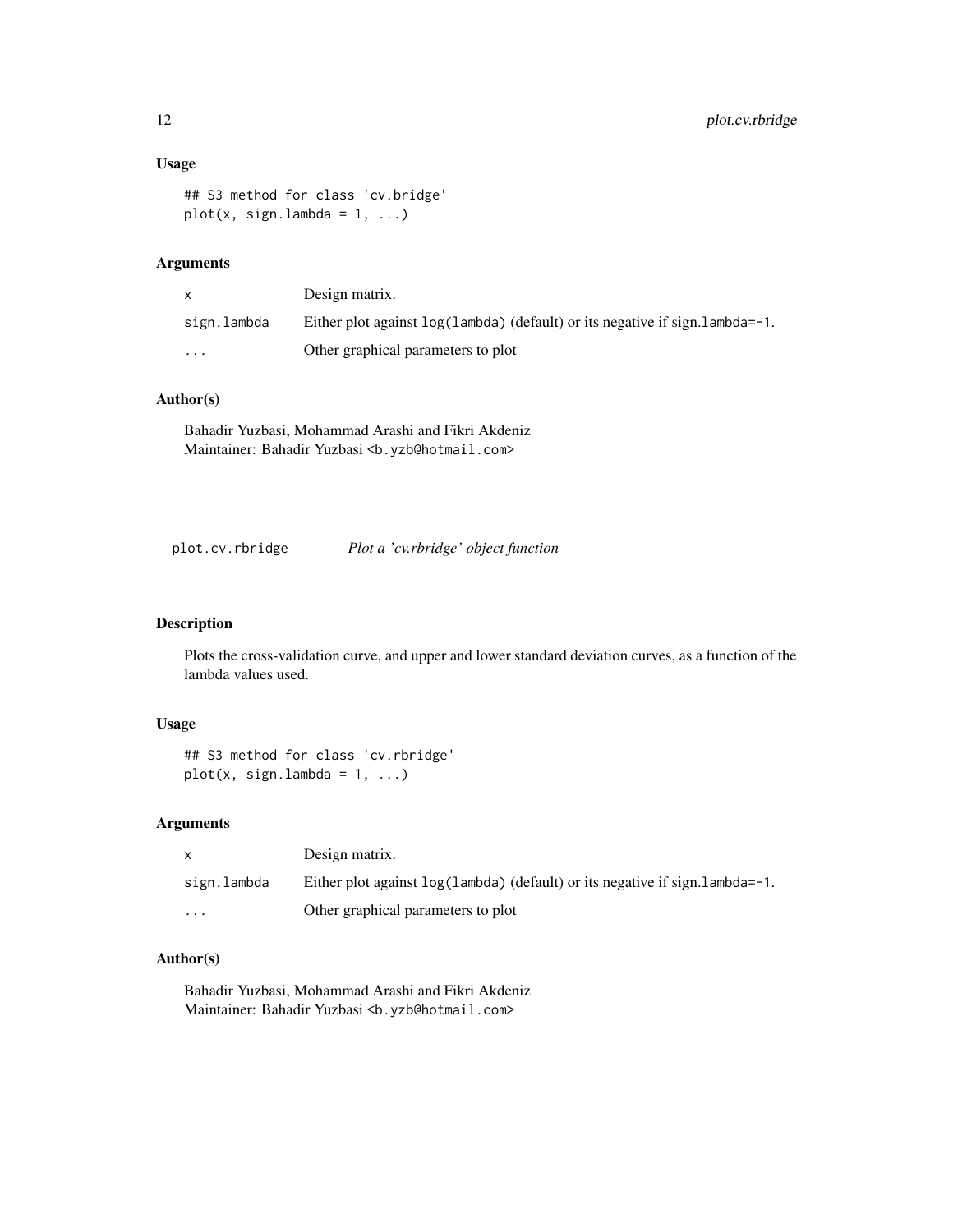#### <span id="page-11-0"></span>Usage

```
## S3 method for class 'cv.bridge'
plot(x, sign.lambda = 1, ...)
```
### Arguments

| $\mathsf{x}$ | Design matrix.                                                                   |
|--------------|----------------------------------------------------------------------------------|
| sign.lambda  | Either plot against $log(1$ ambda) (default) or its negative if sign. lambda=-1. |
| $\cdots$     | Other graphical parameters to plot                                               |

#### Author(s)

Bahadir Yuzbasi, Mohammad Arashi and Fikri Akdeniz Maintainer: Bahadir Yuzbasi <b.yzb@hotmail.com>

plot.cv.rbridge *Plot a 'cv.rbridge' object function*

#### Description

Plots the cross-validation curve, and upper and lower standard deviation curves, as a function of the lambda values used.

#### Usage

```
## S3 method for class 'cv.rbridge'
plot(x, sign.lambda = 1, ...)
```
#### Arguments

|             | Design matrix.                                                                   |
|-------------|----------------------------------------------------------------------------------|
| sign.lambda | Either plot against $log(1$ ambda) (default) or its negative if sign. lambda=-1. |
| $\cdot$     | Other graphical parameters to plot                                               |

#### Author(s)

Bahadir Yuzbasi, Mohammad Arashi and Fikri Akdeniz Maintainer: Bahadir Yuzbasi <b.yzb@hotmail.com>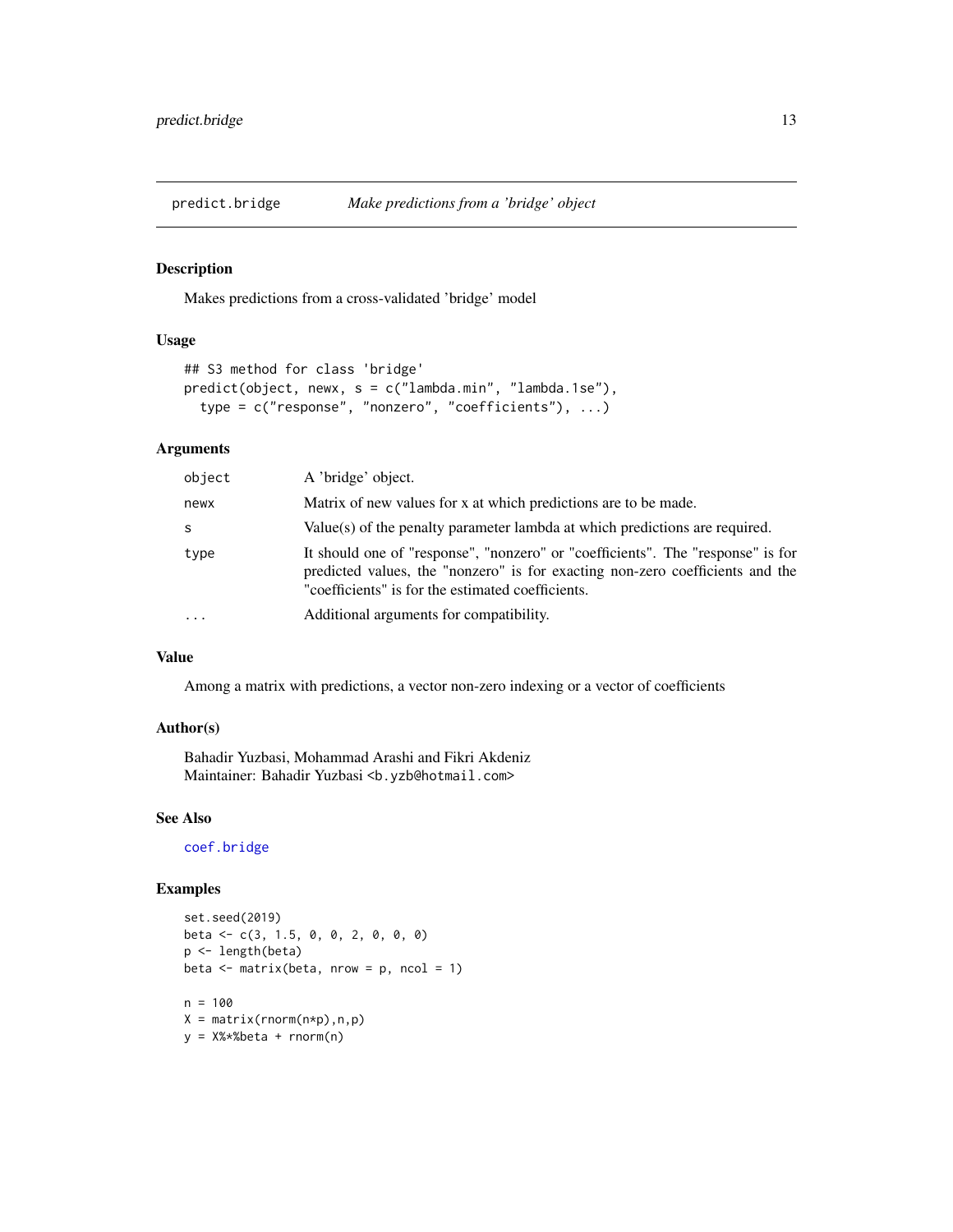<span id="page-12-1"></span><span id="page-12-0"></span>

#### Description

Makes predictions from a cross-validated 'bridge' model

#### Usage

```
## S3 method for class 'bridge'
predict(object, newx, s = c("lambda.min", "lambda.1se"),
  type = c("response", "nonzero", "coefficients"), ...)
```
#### Arguments

| object   | A 'bridge' object.                                                                                                                                                                                                    |
|----------|-----------------------------------------------------------------------------------------------------------------------------------------------------------------------------------------------------------------------|
| newx     | Matrix of new values for x at which predictions are to be made.                                                                                                                                                       |
| S        | Value(s) of the penalty parameter lambda at which predictions are required.                                                                                                                                           |
| type     | It should one of "response", "nonzero" or "coefficients". The "response" is for<br>predicted values, the "nonzero" is for exacting non-zero coefficients and the<br>"coefficients" is for the estimated coefficients. |
| $\cdots$ | Additional arguments for compatibility.                                                                                                                                                                               |

#### Value

Among a matrix with predictions, a vector non-zero indexing or a vector of coefficients

#### Author(s)

Bahadir Yuzbasi, Mohammad Arashi and Fikri Akdeniz Maintainer: Bahadir Yuzbasi <b.yzb@hotmail.com>

#### See Also

[coef.bridge](#page-2-1)

```
set.seed(2019)
beta <- c(3, 1.5, 0, 0, 2, 0, 0, 0)
p <- length(beta)
beta \leq matrix(beta, nrow = p, ncol = 1)
n = 100X = matrix(rnorm(n*p),n,p)y = X%*%beta + rnorm(n)
```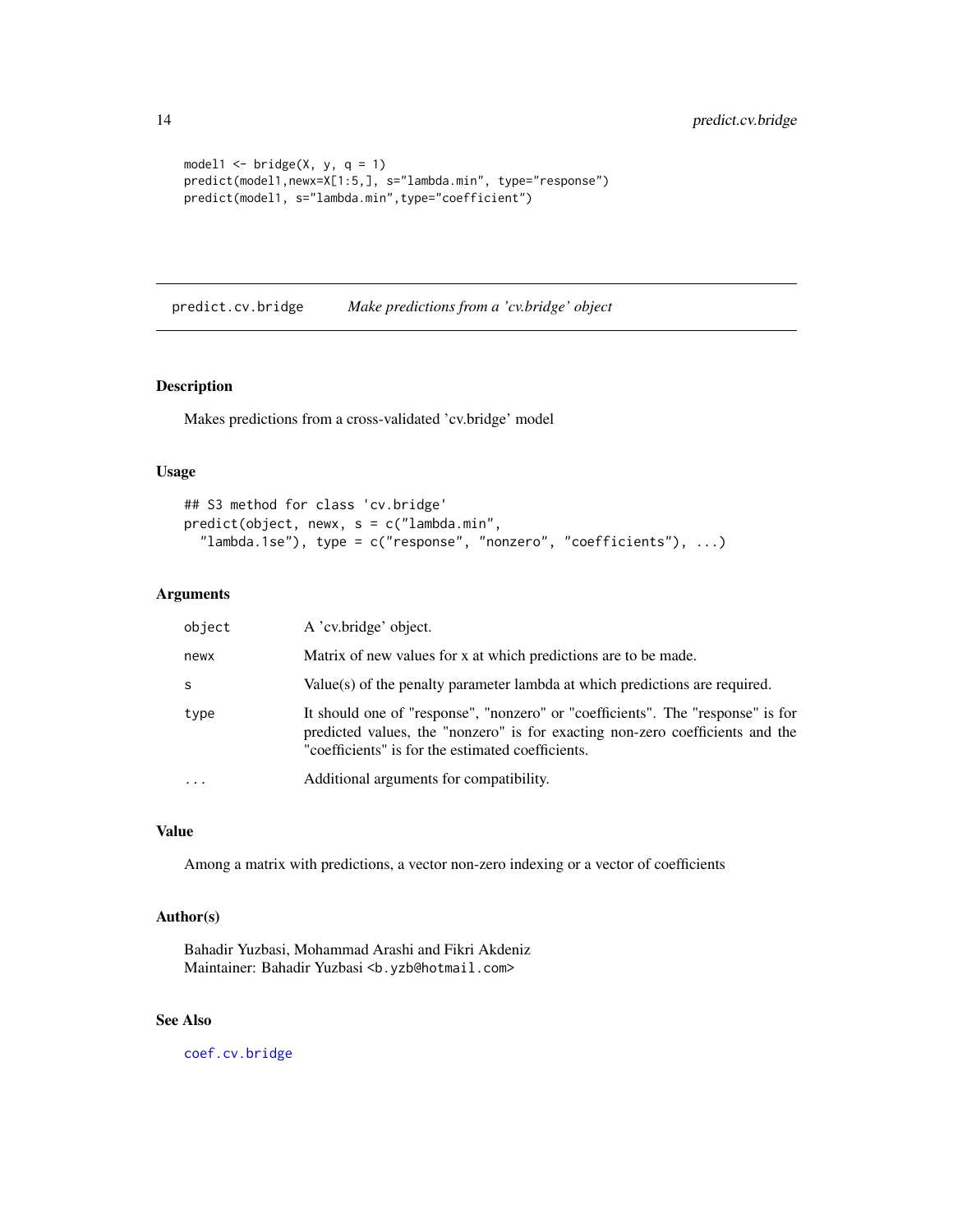```
model1 \le- bridge(X, y, q = 1)
predict(model1,newx=X[1:5,], s="lambda.min", type="response")
predict(model1, s="lambda.min",type="coefficient")
```
predict.cv.bridge *Make predictions from a 'cv.bridge' object*

#### Description

Makes predictions from a cross-validated 'cv.bridge' model

#### Usage

```
## S3 method for class 'cv.bridge'
predict(object, newx, s = c("lambda.min",
  "lambda.1se"), type = c("response", "nonzero", "coefficients"), ...)
```
#### Arguments

| object    | A 'cv.bridge' object.                                                                                                                                                                                                 |
|-----------|-----------------------------------------------------------------------------------------------------------------------------------------------------------------------------------------------------------------------|
| newx      | Matrix of new values for x at which predictions are to be made.                                                                                                                                                       |
| S         | Value(s) of the penalty parameter lambda at which predictions are required.                                                                                                                                           |
| type      | It should one of "response", "nonzero" or "coefficients". The "response" is for<br>predicted values, the "nonzero" is for exacting non-zero coefficients and the<br>"coefficients" is for the estimated coefficients. |
| $\ddotsc$ | Additional arguments for compatibility.                                                                                                                                                                               |

#### Value

Among a matrix with predictions, a vector non-zero indexing or a vector of coefficients

#### Author(s)

Bahadir Yuzbasi, Mohammad Arashi and Fikri Akdeniz Maintainer: Bahadir Yuzbasi <b.yzb@hotmail.com>

#### See Also

[coef.cv.bridge](#page-3-1)

<span id="page-13-0"></span>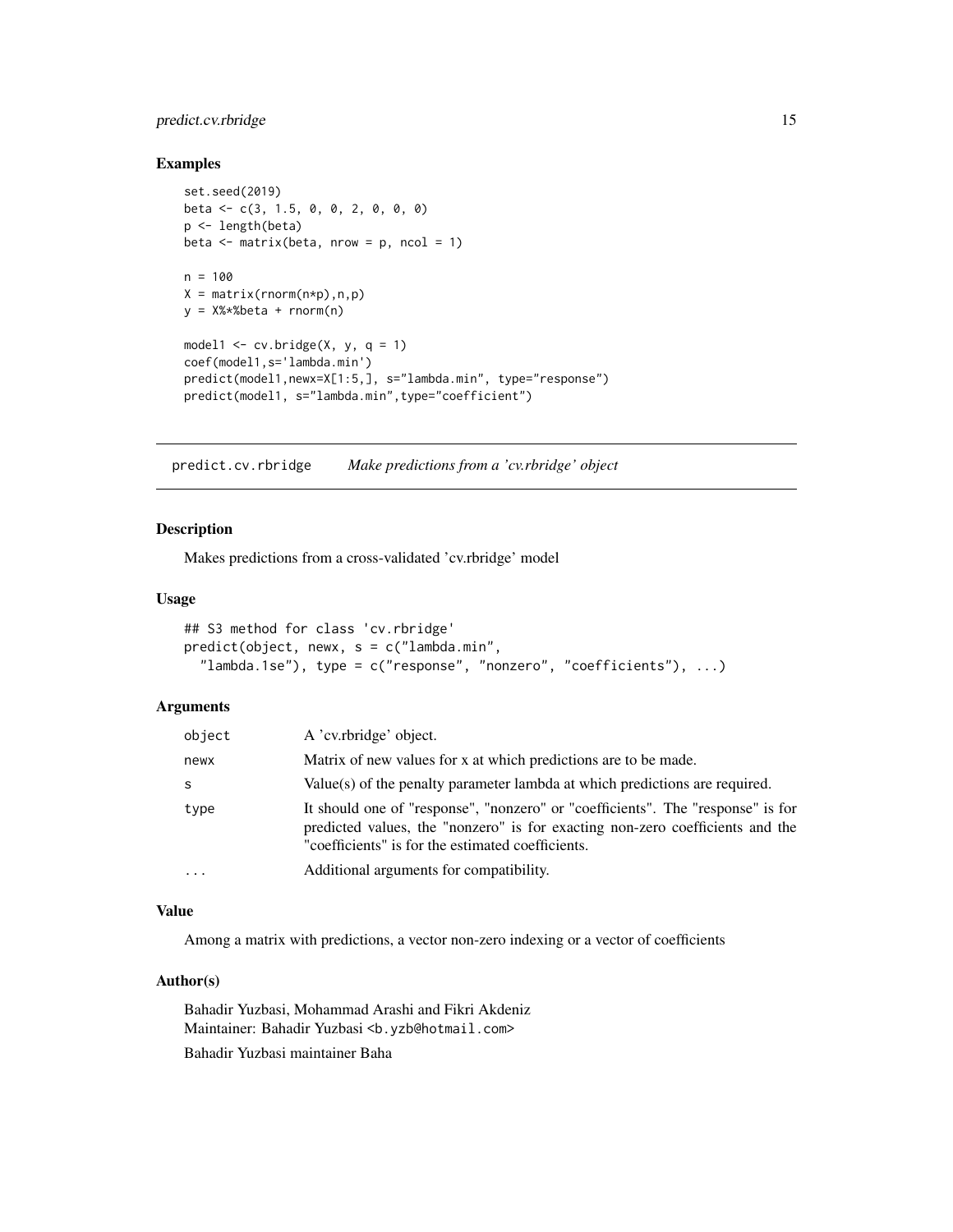#### <span id="page-14-0"></span>predict.cv.rbridge 15

#### Examples

```
set.seed(2019)
beta <- c(3, 1.5, 0, 0, 2, 0, 0, 0)
p <- length(beta)
beta \leq matrix(beta, nrow = p, ncol = 1)
n = 100X = matrix(rnorm(n*p),n,p)y = X%*%beta + rnorm(n)
model1 <- cv.bridge(X, y, q = 1)coef(model1,s='lambda.min')
predict(model1,newx=X[1:5,], s="lambda.min", type="response")
predict(model1, s="lambda.min",type="coefficient")
```
<span id="page-14-1"></span>predict.cv.rbridge *Make predictions from a 'cv.rbridge' object*

#### Description

Makes predictions from a cross-validated 'cv.rbridge' model

#### Usage

```
## S3 method for class 'cv.rbridge'
predict(object, newx, s = c("lambda.min",
  "lambda.1se"), type = c("response", "nonzero", "coefficients"), ...)
```
#### Arguments

| object    | A 'cv.rbridge' object.                                                                                                                                                                                                |
|-----------|-----------------------------------------------------------------------------------------------------------------------------------------------------------------------------------------------------------------------|
| newx      | Matrix of new values for x at which predictions are to be made.                                                                                                                                                       |
| -S        | Value(s) of the penalty parameter lambda at which predictions are required.                                                                                                                                           |
| type      | It should one of "response", "nonzero" or "coefficients". The "response" is for<br>predicted values, the "nonzero" is for exacting non-zero coefficients and the<br>"coefficients" is for the estimated coefficients. |
| $\ddotsc$ | Additional arguments for compatibility.                                                                                                                                                                               |

#### Value

Among a matrix with predictions, a vector non-zero indexing or a vector of coefficients

#### Author(s)

Bahadir Yuzbasi, Mohammad Arashi and Fikri Akdeniz Maintainer: Bahadir Yuzbasi <b.yzb@hotmail.com> Bahadir Yuzbasi maintainer Baha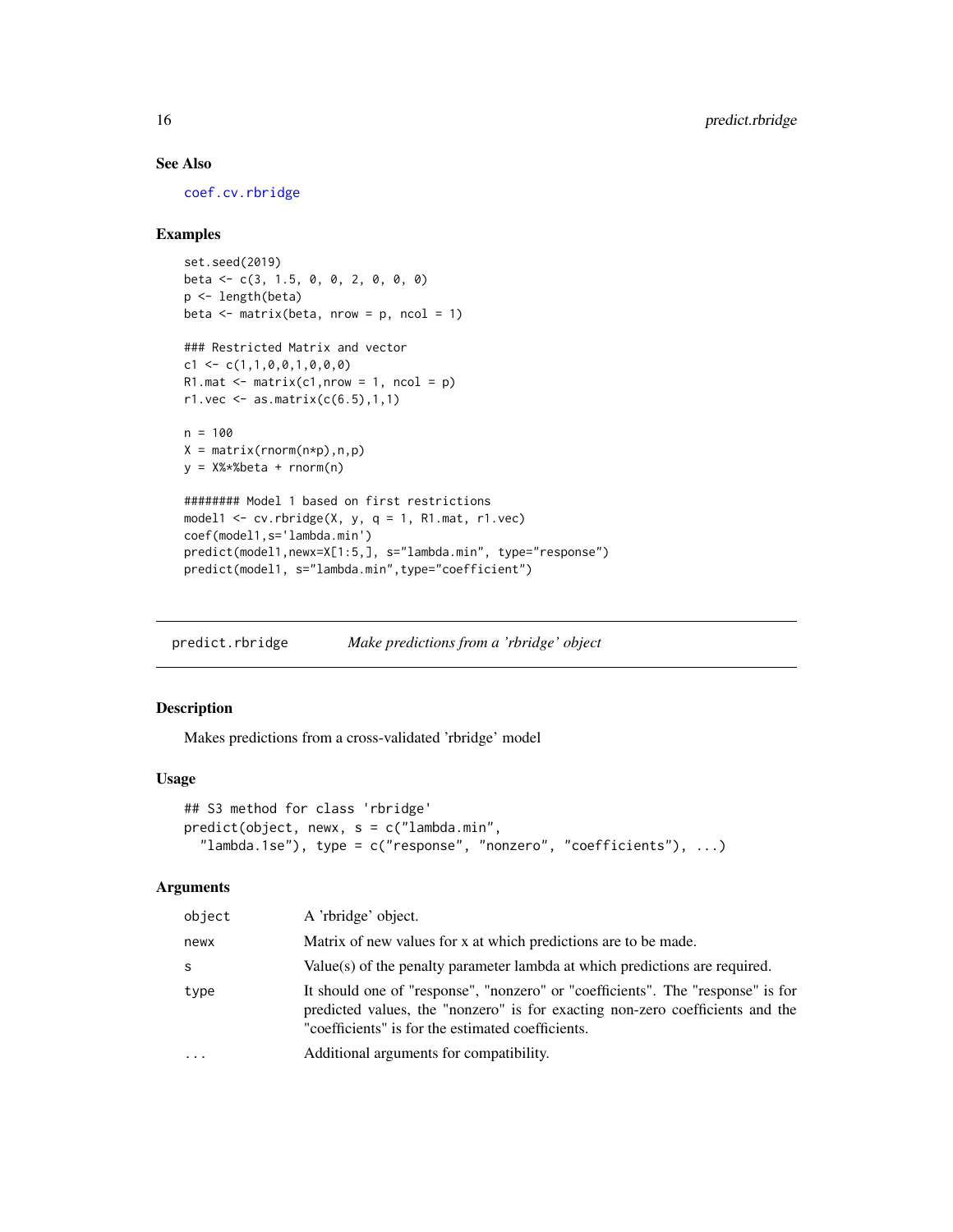#### See Also

[coef.cv.rbridge](#page-4-1)

#### Examples

```
set.seed(2019)
beta <- c(3, 1.5, 0, 0, 2, 0, 0, 0)
p <- length(beta)
beta \leq matrix(beta, nrow = p, ncol = 1)
### Restricted Matrix and vector
c1 \leftarrow c(1,1,0,0,1,0,0,0)R1.mat \leq matrix(c1,nrow = 1, ncol = p)
r1.vec \leq as.matrix(c(6.5), 1, 1)
n = 100X = matrix(rnorm(n*p),n,p)y = X% * %beta + rnorm(n)######## Model 1 based on first restrictions
model1 \leq cv.rbridge(X, y, q = 1, R1.mat, r1.vec)
coef(model1,s='lambda.min')
predict(model1,newx=X[1:5,], s="lambda.min", type="response")
predict(model1, s="lambda.min",type="coefficient")
```
<span id="page-15-1"></span>predict.rbridge *Make predictions from a 'rbridge' object*

#### Description

Makes predictions from a cross-validated 'rbridge' model

#### Usage

```
## S3 method for class 'rbridge'
predict(object, newx, s = c("lambda.min",
  "lambda.1se"), type = c("response", "nonzero", "coefficients"), ...)
```
#### Arguments

| object    | A 'rbridge' object.                                                                                                                                                                                                   |
|-----------|-----------------------------------------------------------------------------------------------------------------------------------------------------------------------------------------------------------------------|
| newx      | Matrix of new values for x at which predictions are to be made.                                                                                                                                                       |
| S         | Value(s) of the penalty parameter lambda at which predictions are required.                                                                                                                                           |
| type      | It should one of "response", "nonzero" or "coefficients". The "response" is for<br>predicted values, the "nonzero" is for exacting non-zero coefficients and the<br>"coefficients" is for the estimated coefficients. |
| $\ddotsc$ | Additional arguments for compatibility.                                                                                                                                                                               |

<span id="page-15-0"></span>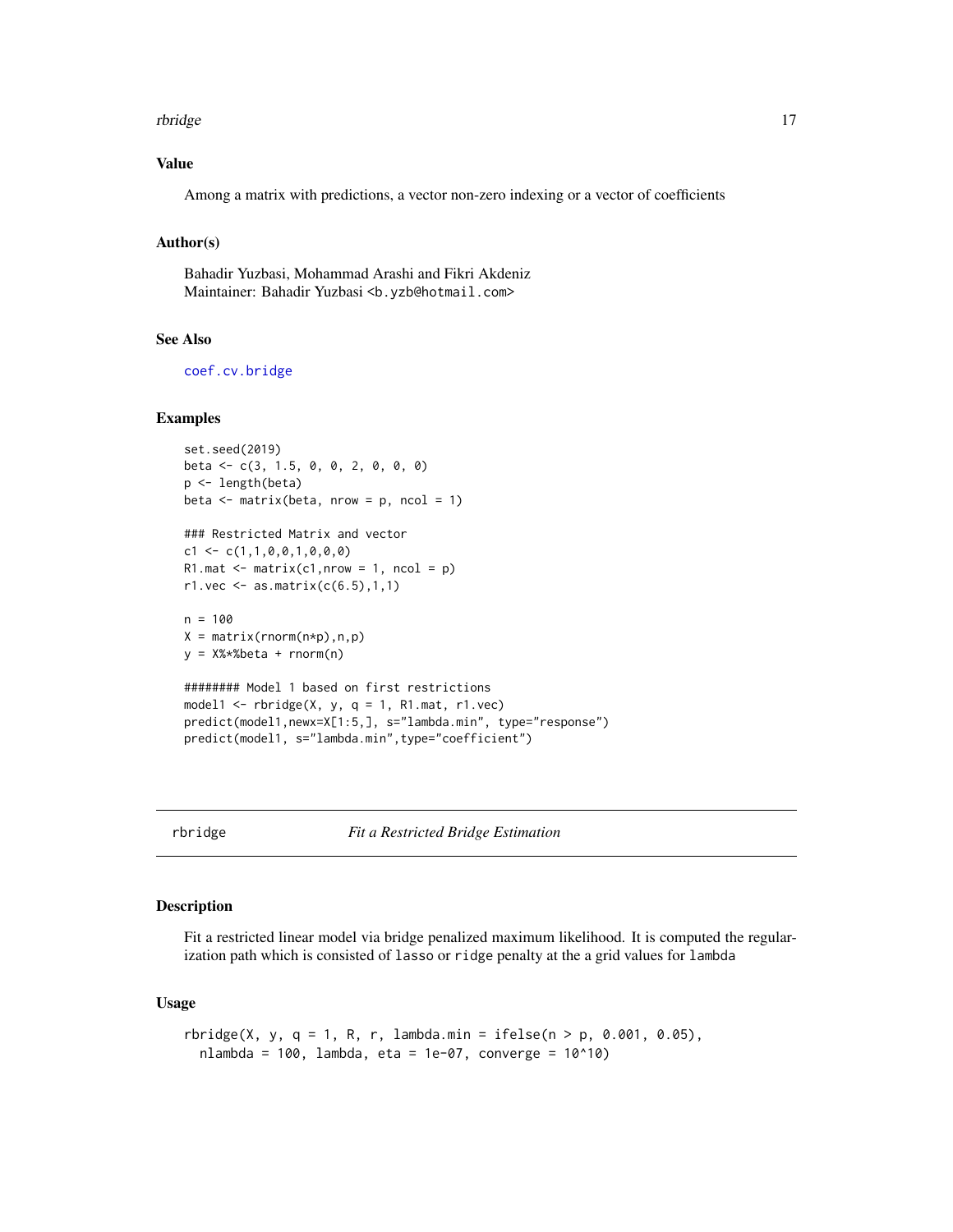#### <span id="page-16-0"></span>rbridge the contract of the contract of the contract of the contract of the contract of the contract of the contract of the contract of the contract of the contract of the contract of the contract of the contract of the co

#### Value

Among a matrix with predictions, a vector non-zero indexing or a vector of coefficients

#### Author(s)

Bahadir Yuzbasi, Mohammad Arashi and Fikri Akdeniz Maintainer: Bahadir Yuzbasi <b.yzb@hotmail.com>

#### See Also

[coef.cv.bridge](#page-3-1)

#### Examples

```
set.seed(2019)
beta <- c(3, 1.5, 0, 0, 2, 0, 0, 0)
p <- length(beta)
beta \leq matrix(beta, nrow = p, ncol = 1)
### Restricted Matrix and vector
c1 \leftarrow c(1,1,0,0,1,0,0,0)R1.mat \leq matrix(c1, nrow = 1, ncol = p)
r1.vec \leq as.matrix(c(6.5), 1, 1)
n = 100
X = matrix(rnorm(n*p), n, p)y = X%*%beta + rnorm(n)
######## Model 1 based on first restrictions
model1 \le- rbridge(X, y, q = 1, R1.mat, r1.vec)
predict(model1,newx=X[1:5,], s="lambda.min", type="response")
predict(model1, s="lambda.min",type="coefficient")
```
<span id="page-16-1"></span>rbridge *Fit a Restricted Bridge Estimation*

#### Description

Fit a restricted linear model via bridge penalized maximum likelihood. It is computed the regularization path which is consisted of lasso or ridge penalty at the a grid values for lambda

#### Usage

```
rbridge(X, y, q = 1, R, r, lambda.min = ifelse(n > p, 0.001, 0.05),nlambda = 100, lambda, eta = 1e-07, converge = 10^10)
```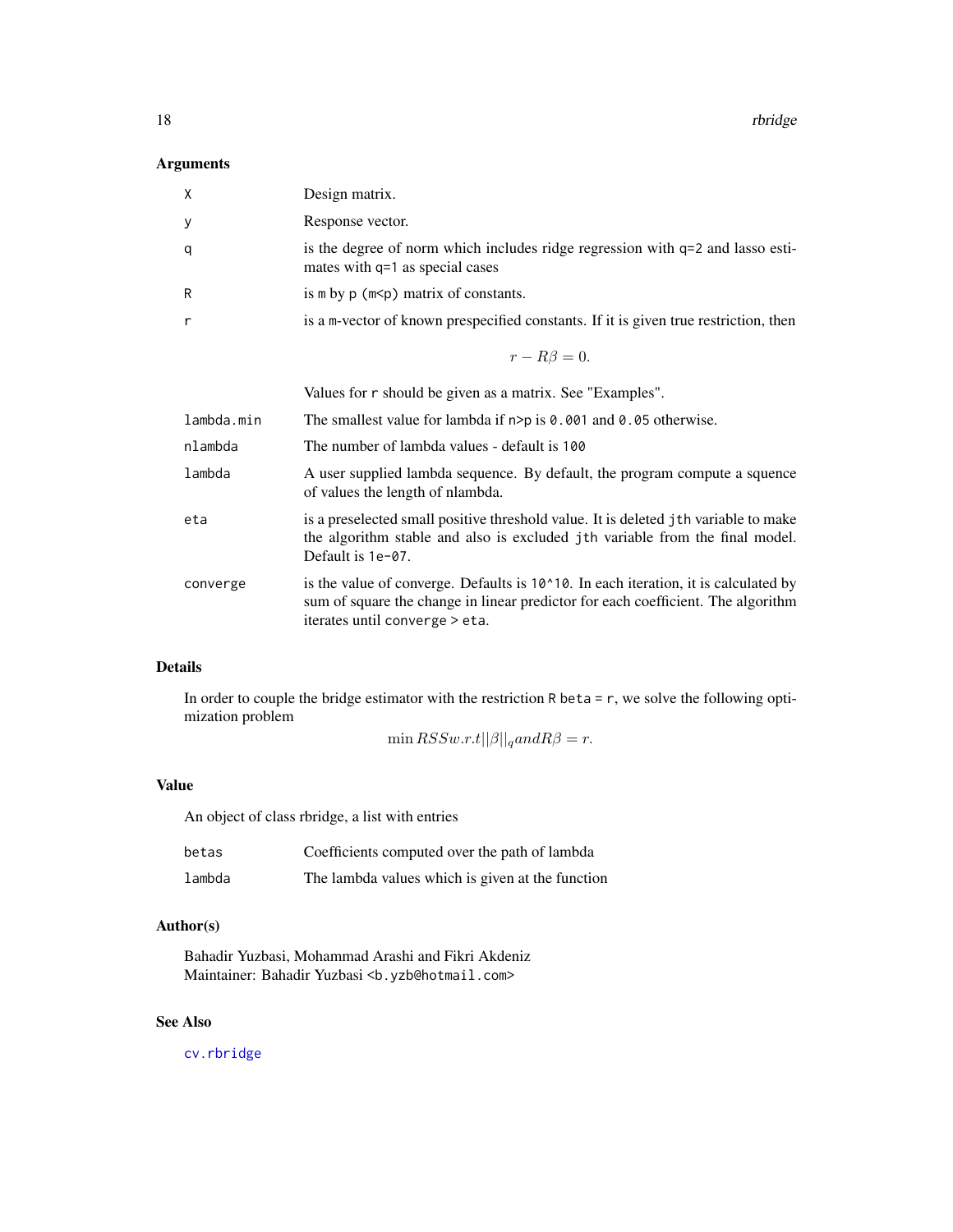<span id="page-17-0"></span>18 rbridge

#### Arguments

| X          | Design matrix.                                                                                                                                                                                            |
|------------|-----------------------------------------------------------------------------------------------------------------------------------------------------------------------------------------------------------|
| у          | Response vector.                                                                                                                                                                                          |
| q          | is the degree of norm which includes ridge regression with q=2 and lasso esti-<br>mates with q=1 as special cases                                                                                         |
| R          | is $m$ by $p$ ( $m$ <p) constants.<="" matrix="" of="" td=""></p)>                                                                                                                                        |
| r          | is a m-vector of known prespecified constants. If it is given true restriction, then                                                                                                                      |
|            | $r - R\beta = 0.$                                                                                                                                                                                         |
|            | Values for r should be given as a matrix. See "Examples".                                                                                                                                                 |
| lambda.min | The smallest value for lambda if $n > p$ is 0.001 and 0.05 otherwise.                                                                                                                                     |
| nlambda    | The number of lambda values - default is 100                                                                                                                                                              |
| lambda     | A user supplied lambda sequence. By default, the program compute a squence<br>of values the length of nlambda.                                                                                            |
| eta        | is a preselected small positive threshold value. It is deleted jth variable to make<br>the algorithm stable and also is excluded jth variable from the final model.<br>Default is 1e-07.                  |
| converge   | is the value of converge. Defaults is 10^10. In each iteration, it is calculated by<br>sum of square the change in linear predictor for each coefficient. The algorithm<br>iterates until converge > eta. |

#### Details

In order to couple the bridge estimator with the restriction R beta = r, we solve the following optimization problem

min  $RSSw.r.t ||\beta||_q and R\beta = r.$ 

#### Value

An object of class rbridge, a list with entries

| betas  | Coefficients computed over the path of lambda    |
|--------|--------------------------------------------------|
| lambda | The lambda values which is given at the function |

#### Author(s)

Bahadir Yuzbasi, Mohammad Arashi and Fikri Akdeniz Maintainer: Bahadir Yuzbasi <b.yzb@hotmail.com>

### See Also

[cv.rbridge](#page-8-1)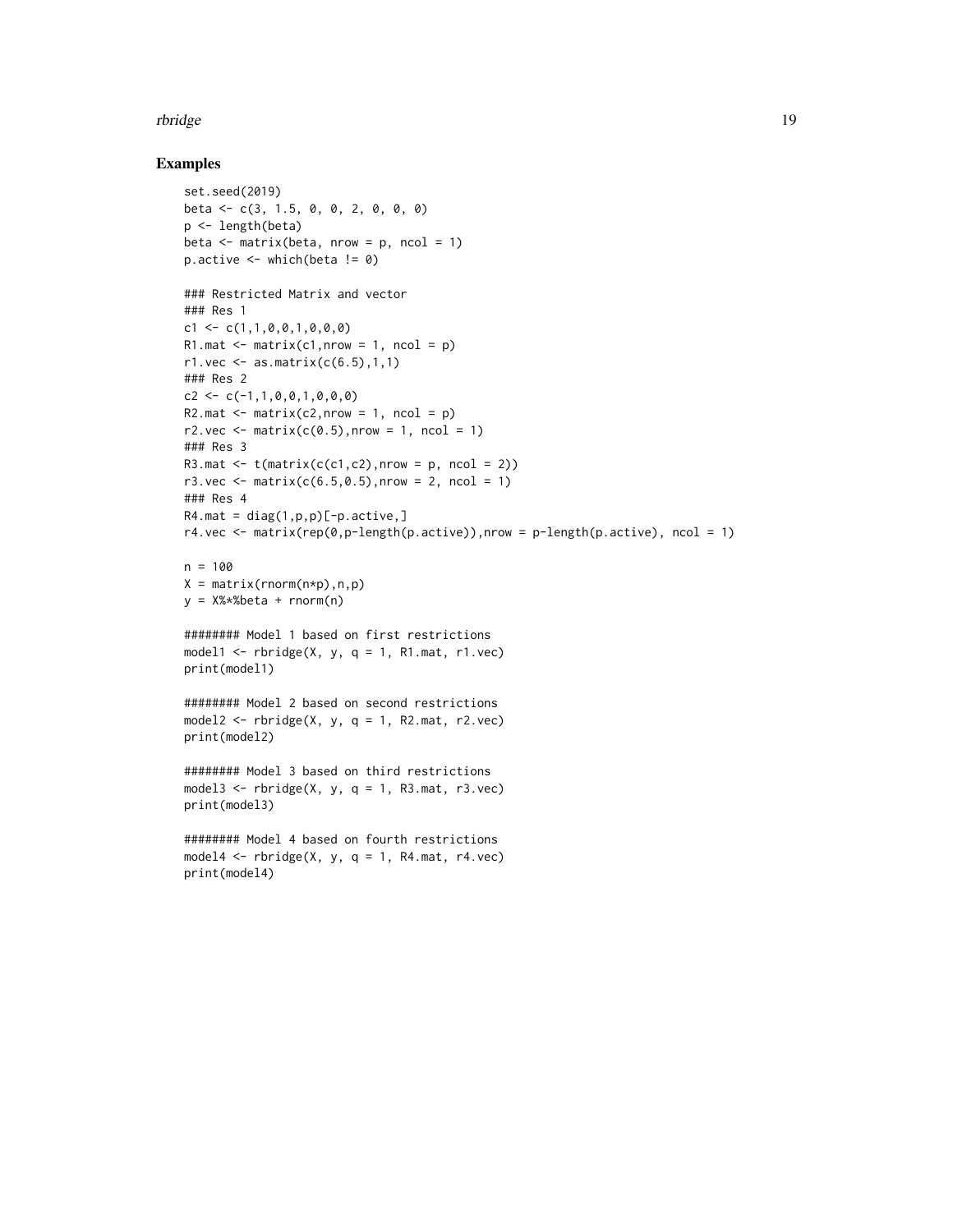#### rbridge the contract of the contract of the contract of the contract of the contract of the contract of the contract of the contract of the contract of the contract of the contract of the contract of the contract of the co

```
set.seed(2019)
beta <- c(3, 1.5, 0, 0, 2, 0, 0, 0)
p <- length(beta)
beta <- matrix(beta, nrow = p, ncol = 1)
p.active \leq which(beta != 0)
### Restricted Matrix and vector
### Res 1
c1 \leq -c(1,1,0,0,1,0,0,0)R1.mat \leq matrix(c1, nrow = 1, ncol = p)
r1. vec \leq as. matrix(c(6.5), 1, 1)
### Res 2
c2 \leftarrow c(-1,1,0,0,1,0,0,0)R2.mat \leq matrix(c2,nrow = 1, ncol = p)
r2.vec \leq matrix(c(0.5), nrow = 1, ncol = 1)
### Res 3
R3.mat \leq t(matrix(c(c1,c2), nrow = p, ncol = 2))
r3. vec \leq matrix(c(6.5,0.5), nrow = 2, ncol = 1)
### Res 4
R4.mat = diag(1, p, p)[-p.active,]
r4.vec <- matrix(rep(0,p-length(p.active)),nrow = p-length(p.active), ncol = 1)
n = 100
X = matrix(rnorm(n*p),n,p)y = X%*%beta + rnorm(n)
######## Model 1 based on first restrictions
model1 \le rbridge(X, y, q = 1, R1.mat, r1.vec)
print(model1)
######## Model 2 based on second restrictions
model2 \leq rbridge(X, y, q = 1, R2.mat, r2.vec)
print(model2)
######## Model 3 based on third restrictions
model3 \leq rbridge(X, y, q = 1, R3.mat, r3.vec)
print(model3)
######## Model 4 based on fourth restrictions
model4 \le rbridge(X, y, q = 1, R4.mat, r4.vec)
print(model4)
```